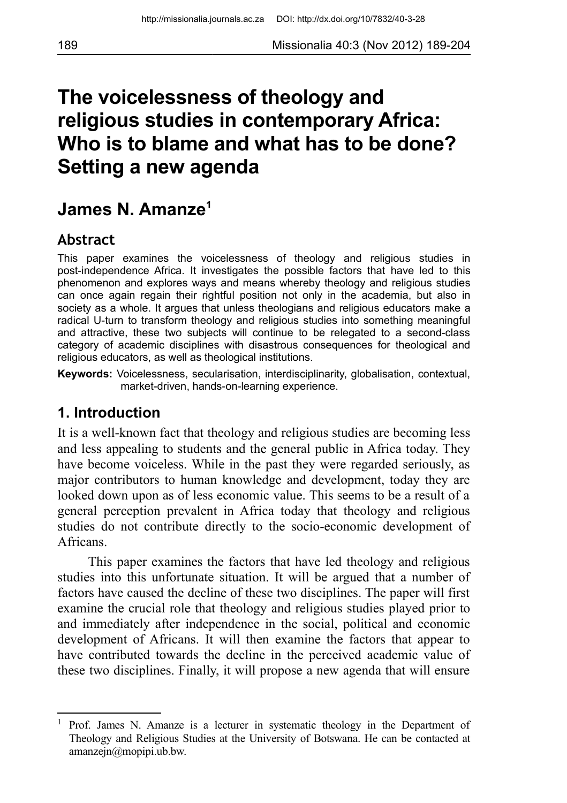# **The voicelessness of theology and religious studies in contemporary Africa: Who is to blame and what has to be done? Setting a new agenda**

# **James N. Amanze[1](#page-0-0)**

### **Abstract**

This paper examines the voicelessness of theology and religious studies in post-independence Africa. It investigates the possible factors that have led to this phenomenon and explores ways and means whereby theology and religious studies can once again regain their rightful position not only in the academia, but also in society as a whole. It argues that unless theologians and religious educators make a radical U-turn to transform theology and religious studies into something meaningful and attractive, these two subjects will continue to be relegated to a second-class category of academic disciplines with disastrous consequences for theological and religious educators, as well as theological institutions.

**Keywords:** Voicelessness, secularisation, interdisciplinarity, globalisation, contextual, market-driven, hands-on-learning experience.

#### **1. Introduction**

It is a well-known fact that theology and religious studies are becoming less and less appealing to students and the general public in Africa today. They have become voiceless. While in the past they were regarded seriously, as major contributors to human knowledge and development, today they are looked down upon as of less economic value. This seems to be a result of a general perception prevalent in Africa today that theology and religious studies do not contribute directly to the socio-economic development of Africans.

This paper examines the factors that have led theology and religious studies into this unfortunate situation. It will be argued that a number of factors have caused the decline of these two disciplines. The paper will first examine the crucial role that theology and religious studies played prior to and immediately after independence in the social, political and economic development of Africans. It will then examine the factors that appear to have contributed towards the decline in the perceived academic value of these two disciplines. Finally, it will propose a new agenda that will ensure

<span id="page-0-0"></span><sup>&</sup>lt;sup>1</sup> Prof. James N. Amanze is a lecturer in systematic theology in the Department of Theology and Religious Studies at the University of Botswana. He can be contacted at amanzejn@mopipi.ub.bw.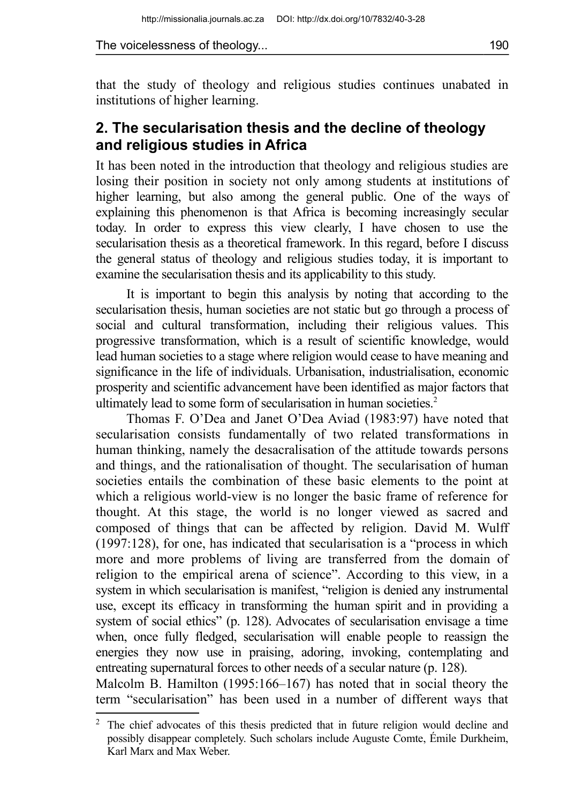that the study of theology and religious studies continues unabated in institutions of higher learning.

### **2. The secularisation thesis and the decline of theology and religious studies in Africa**

It has been noted in the introduction that theology and religious studies are losing their position in society not only among students at institutions of higher learning, but also among the general public. One of the ways of explaining this phenomenon is that Africa is becoming increasingly secular today. In order to express this view clearly, I have chosen to use the secularisation thesis as a theoretical framework. In this regard, before I discuss the general status of theology and religious studies today, it is important to examine the secularisation thesis and its applicability to this study.

It is important to begin this analysis by noting that according to the secularisation thesis, human societies are not static but go through a process of social and cultural transformation, including their religious values. This progressive transformation, which is a result of scientific knowledge, would lead human societies to a stage where religion would cease to have meaning and significance in the life of individuals. Urbanisation, industrialisation, economic prosperity and scientific advancement have been identified as major factors that ultimately lead to some form of secularisation in human societies.<sup>[2](#page-1-0)</sup>

Thomas F. O'Dea and Janet O'Dea Aviad (1983:97) have noted that secularisation consists fundamentally of two related transformations in human thinking, namely the desacralisation of the attitude towards persons and things, and the rationalisation of thought. The secularisation of human societies entails the combination of these basic elements to the point at which a religious world-view is no longer the basic frame of reference for thought. At this stage, the world is no longer viewed as sacred and composed of things that can be affected by religion. David M. Wulff (1997:128), for one, has indicated that secularisation is a "process in which more and more problems of living are transferred from the domain of religion to the empirical arena of science". According to this view, in a system in which secularisation is manifest, "religion is denied any instrumental use, except its efficacy in transforming the human spirit and in providing a system of social ethics" (p. 128). Advocates of secularisation envisage a time when, once fully fledged, secularisation will enable people to reassign the energies they now use in praising, adoring, invoking, contemplating and entreating supernatural forces to other needs of a secular nature (p. 128).

Malcolm B. Hamilton (1995:166–167) has noted that in social theory the term "secularisation" has been used in a number of different ways that

<span id="page-1-0"></span> $2\degree$  The chief advocates of this thesis predicted that in future religion would decline and possibly disappear completely. Such scholars include Auguste Comte, Émile Durkheim, Karl Marx and Max Weber.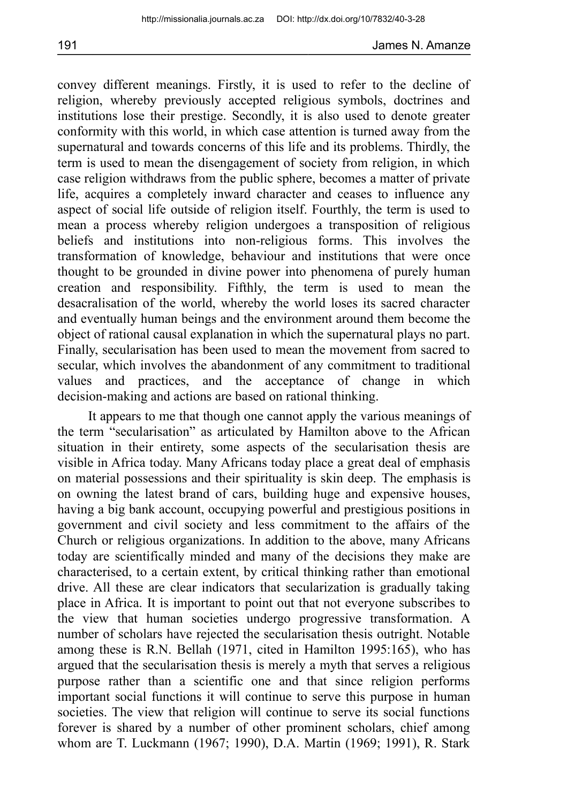convey different meanings. Firstly, it is used to refer to the decline of religion, whereby previously accepted religious symbols, doctrines and institutions lose their prestige. Secondly, it is also used to denote greater conformity with this world, in which case attention is turned away from the supernatural and towards concerns of this life and its problems. Thirdly, the term is used to mean the disengagement of society from religion, in which case religion withdraws from the public sphere, becomes a matter of private life, acquires a completely inward character and ceases to influence any aspect of social life outside of religion itself. Fourthly, the term is used to mean a process whereby religion undergoes a transposition of religious beliefs and institutions into non-religious forms. This involves the transformation of knowledge, behaviour and institutions that were once thought to be grounded in divine power into phenomena of purely human creation and responsibility. Fifthly, the term is used to mean the desacralisation of the world, whereby the world loses its sacred character and eventually human beings and the environment around them become the object of rational causal explanation in which the supernatural plays no part. Finally, secularisation has been used to mean the movement from sacred to secular, which involves the abandonment of any commitment to traditional values and practices, and the acceptance of change in which decision-making and actions are based on rational thinking.

It appears to me that though one cannot apply the various meanings of the term "secularisation" as articulated by Hamilton above to the African situation in their entirety, some aspects of the secularisation thesis are visible in Africa today. Many Africans today place a great deal of emphasis on material possessions and their spirituality is skin deep. The emphasis is on owning the latest brand of cars, building huge and expensive houses, having a big bank account, occupying powerful and prestigious positions in government and civil society and less commitment to the affairs of the Church or religious organizations. In addition to the above, many Africans today are scientifically minded and many of the decisions they make are characterised, to a certain extent, by critical thinking rather than emotional drive. All these are clear indicators that secularization is gradually taking place in Africa. It is important to point out that not everyone subscribes to the view that human societies undergo progressive transformation. A number of scholars have rejected the secularisation thesis outright. Notable among these is R.N. Bellah (1971, cited in Hamilton 1995:165), who has argued that the secularisation thesis is merely a myth that serves a religious purpose rather than a scientific one and that since religion performs important social functions it will continue to serve this purpose in human societies. The view that religion will continue to serve its social functions forever is shared by a number of other prominent scholars, chief among whom are T. Luckmann (1967; 1990), D.A. Martin (1969; 1991), R. Stark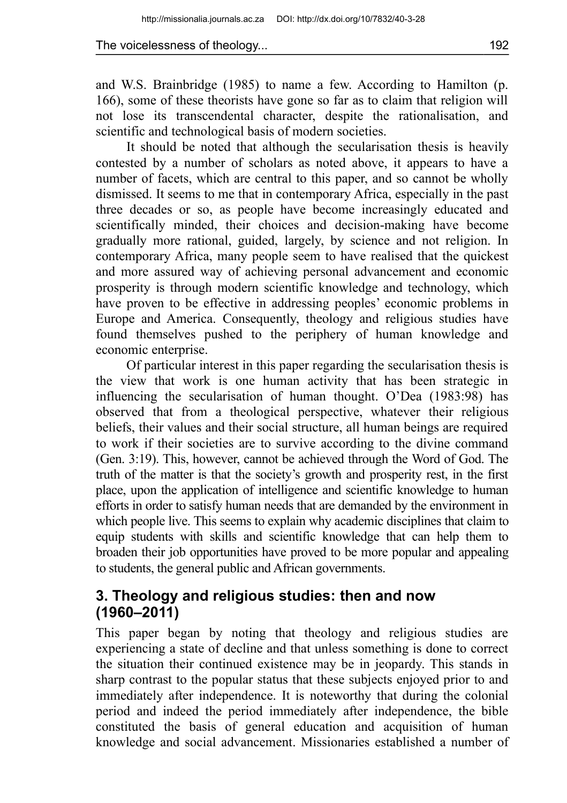and W.S. Brainbridge (1985) to name a few. According to Hamilton (p. 166), some of these theorists have gone so far as to claim that religion will not lose its transcendental character, despite the rationalisation, and scientific and technological basis of modern societies.

It should be noted that although the secularisation thesis is heavily contested by a number of scholars as noted above, it appears to have a number of facets, which are central to this paper, and so cannot be wholly dismissed. It seems to me that in contemporary Africa, especially in the past three decades or so, as people have become increasingly educated and scientifically minded, their choices and decision-making have become gradually more rational, guided, largely, by science and not religion. In contemporary Africa, many people seem to have realised that the quickest and more assured way of achieving personal advancement and economic prosperity is through modern scientific knowledge and technology, which have proven to be effective in addressing peoples' economic problems in Europe and America. Consequently, theology and religious studies have found themselves pushed to the periphery of human knowledge and economic enterprise.

Of particular interest in this paper regarding the secularisation thesis is the view that work is one human activity that has been strategic in influencing the secularisation of human thought. O'Dea (1983:98) has observed that from a theological perspective, whatever their religious beliefs, their values and their social structure, all human beings are required to work if their societies are to survive according to the divine command (Gen. 3:19). This, however, cannot be achieved through the Word of God. The truth of the matter is that the society's growth and prosperity rest, in the first place, upon the application of intelligence and scientific knowledge to human efforts in order to satisfy human needs that are demanded by the environment in which people live. This seems to explain why academic disciplines that claim to equip students with skills and scientific knowledge that can help them to broaden their job opportunities have proved to be more popular and appealing to students, the general public and African governments.

# **3. Theology and religious studies: then and now (1960–2011)**

This paper began by noting that theology and religious studies are experiencing a state of decline and that unless something is done to correct the situation their continued existence may be in jeopardy. This stands in sharp contrast to the popular status that these subjects enjoyed prior to and immediately after independence. It is noteworthy that during the colonial period and indeed the period immediately after independence, the bible constituted the basis of general education and acquisition of human knowledge and social advancement. Missionaries established a number of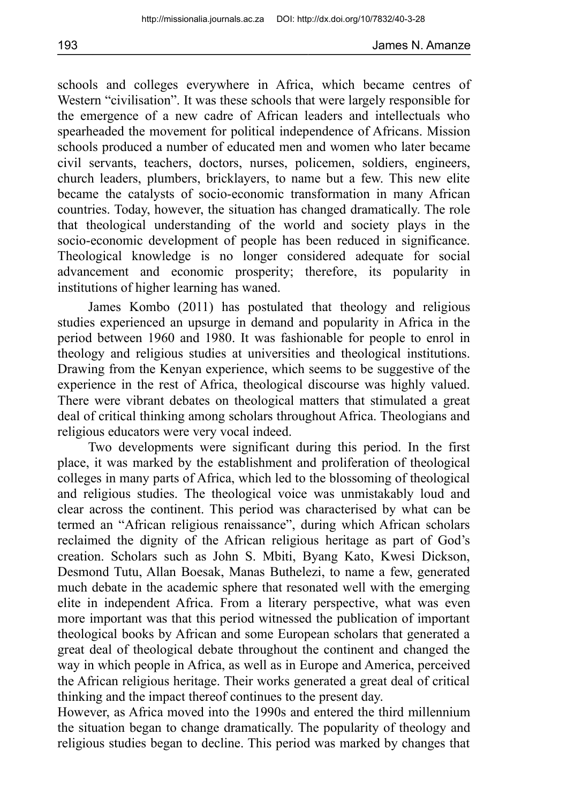schools and colleges everywhere in Africa, which became centres of Western "civilisation". It was these schools that were largely responsible for the emergence of a new cadre of African leaders and intellectuals who spearheaded the movement for political independence of Africans. Mission schools produced a number of educated men and women who later became civil servants, teachers, doctors, nurses, policemen, soldiers, engineers, church leaders, plumbers, bricklayers, to name but a few. This new elite became the catalysts of socio-economic transformation in many African countries. Today, however, the situation has changed dramatically. The role that theological understanding of the world and society plays in the socio-economic development of people has been reduced in significance. Theological knowledge is no longer considered adequate for social advancement and economic prosperity; therefore, its popularity in institutions of higher learning has waned.

James Kombo (2011) has postulated that theology and religious studies experienced an upsurge in demand and popularity in Africa in the period between 1960 and 1980. It was fashionable for people to enrol in theology and religious studies at universities and theological institutions. Drawing from the Kenyan experience, which seems to be suggestive of the experience in the rest of Africa, theological discourse was highly valued. There were vibrant debates on theological matters that stimulated a great deal of critical thinking among scholars throughout Africa. Theologians and religious educators were very vocal indeed.

Two developments were significant during this period. In the first place, it was marked by the establishment and proliferation of theological colleges in many parts of Africa, which led to the blossoming of theological and religious studies. The theological voice was unmistakably loud and clear across the continent. This period was characterised by what can be termed an "African religious renaissance", during which African scholars reclaimed the dignity of the African religious heritage as part of God's creation. Scholars such as John S. Mbiti, Byang Kato, Kwesi Dickson, Desmond Tutu, Allan Boesak, Manas Buthelezi, to name a few, generated much debate in the academic sphere that resonated well with the emerging elite in independent Africa. From a literary perspective, what was even more important was that this period witnessed the publication of important theological books by African and some European scholars that generated a great deal of theological debate throughout the continent and changed the way in which people in Africa, as well as in Europe and America, perceived the African religious heritage. Their works generated a great deal of critical thinking and the impact thereof continues to the present day.

However, as Africa moved into the 1990s and entered the third millennium the situation began to change dramatically. The popularity of theology and religious studies began to decline. This period was marked by changes that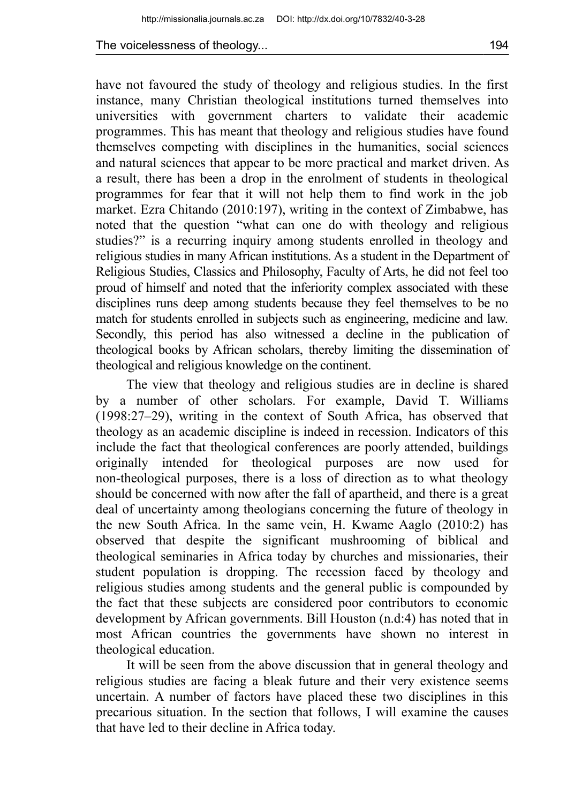have not favoured the study of theology and religious studies. In the first instance, many Christian theological institutions turned themselves into universities with government charters to validate their academic programmes. This has meant that theology and religious studies have found themselves competing with disciplines in the humanities, social sciences and natural sciences that appear to be more practical and market driven. As a result, there has been a drop in the enrolment of students in theological programmes for fear that it will not help them to find work in the job market. Ezra Chitando (2010:197), writing in the context of Zimbabwe, has noted that the question "what can one do with theology and religious studies?" is a recurring inquiry among students enrolled in theology and religious studies in many African institutions. As a student in the Department of Religious Studies, Classics and Philosophy, Faculty of Arts, he did not feel too proud of himself and noted that the inferiority complex associated with these disciplines runs deep among students because they feel themselves to be no match for students enrolled in subjects such as engineering, medicine and law. Secondly, this period has also witnessed a decline in the publication of theological books by African scholars, thereby limiting the dissemination of theological and religious knowledge on the continent.

The view that theology and religious studies are in decline is shared by a number of other scholars. For example, David T. Williams (1998:27–29), writing in the context of South Africa, has observed that theology as an academic discipline is indeed in recession. Indicators of this include the fact that theological conferences are poorly attended, buildings originally intended for theological purposes are now used for non-theological purposes, there is a loss of direction as to what theology should be concerned with now after the fall of apartheid, and there is a great deal of uncertainty among theologians concerning the future of theology in the new South Africa. In the same vein, H. Kwame Aaglo (2010:2) has observed that despite the significant mushrooming of biblical and theological seminaries in Africa today by churches and missionaries, their student population is dropping. The recession faced by theology and religious studies among students and the general public is compounded by the fact that these subjects are considered poor contributors to economic development by African governments. Bill Houston (n.d:4) has noted that in most African countries the governments have shown no interest in theological education.

It will be seen from the above discussion that in general theology and religious studies are facing a bleak future and their very existence seems uncertain. A number of factors have placed these two disciplines in this precarious situation. In the section that follows, I will examine the causes that have led to their decline in Africa today.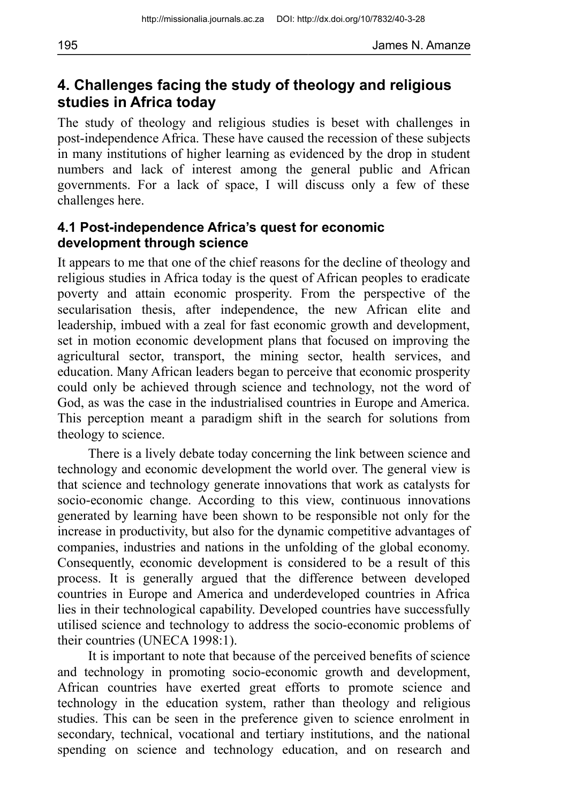## **4. Challenges facing the study of theology and religious studies in Africa today**

The study of theology and religious studies is beset with challenges in post-independence Africa. These have caused the recession of these subjects in many institutions of higher learning as evidenced by the drop in student numbers and lack of interest among the general public and African governments. For a lack of space, I will discuss only a few of these challenges here.

#### **4.1 Post-independence Africa's quest for economic development through science**

It appears to me that one of the chief reasons for the decline of theology and religious studies in Africa today is the quest of African peoples to eradicate poverty and attain economic prosperity. From the perspective of the secularisation thesis, after independence, the new African elite and leadership, imbued with a zeal for fast economic growth and development, set in motion economic development plans that focused on improving the agricultural sector, transport, the mining sector, health services, and education. Many African leaders began to perceive that economic prosperity could only be achieved through science and technology, not the word of God, as was the case in the industrialised countries in Europe and America. This perception meant a paradigm shift in the search for solutions from theology to science.

There is a lively debate today concerning the link between science and technology and economic development the world over. The general view is that science and technology generate innovations that work as catalysts for socio-economic change. According to this view, continuous innovations generated by learning have been shown to be responsible not only for the increase in productivity, but also for the dynamic competitive advantages of companies, industries and nations in the unfolding of the global economy. Consequently, economic development is considered to be a result of this process. It is generally argued that the difference between developed countries in Europe and America and underdeveloped countries in Africa lies in their technological capability. Developed countries have successfully utilised science and technology to address the socio-economic problems of their countries (UNECA 1998:1).

It is important to note that because of the perceived benefits of science and technology in promoting socio-economic growth and development, African countries have exerted great efforts to promote science and technology in the education system, rather than theology and religious studies. This can be seen in the preference given to science enrolment in secondary, technical, vocational and tertiary institutions, and the national spending on science and technology education, and on research and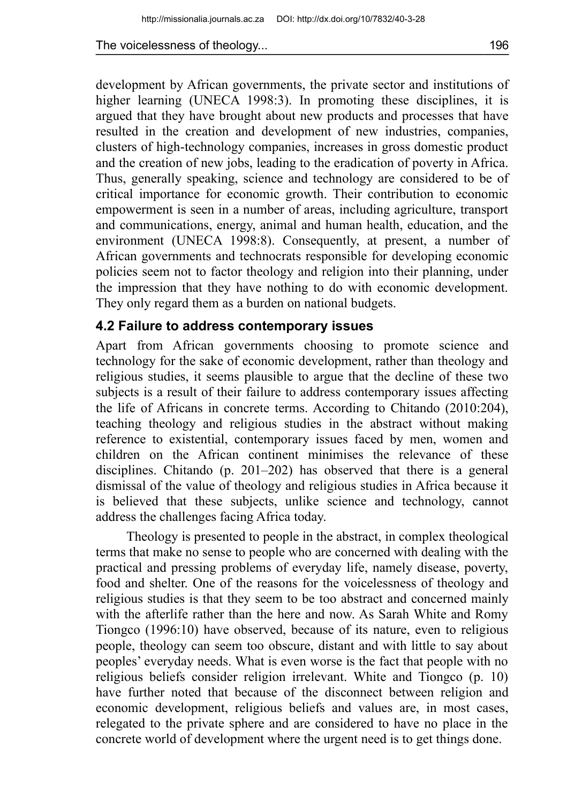development by African governments, the private sector and institutions of higher learning (UNECA 1998:3). In promoting these disciplines, it is argued that they have brought about new products and processes that have resulted in the creation and development of new industries, companies, clusters of high-technology companies, increases in gross domestic product and the creation of new jobs, leading to the eradication of poverty in Africa. Thus, generally speaking, science and technology are considered to be of critical importance for economic growth. Their contribution to economic empowerment is seen in a number of areas, including agriculture, transport and communications, energy, animal and human health, education, and the environment (UNECA 1998:8). Consequently, at present, a number of African governments and technocrats responsible for developing economic policies seem not to factor theology and religion into their planning, under the impression that they have nothing to do with economic development. They only regard them as a burden on national budgets.

#### **4.2 Failure to address contemporary issues**

Apart from African governments choosing to promote science and technology for the sake of economic development, rather than theology and religious studies, it seems plausible to argue that the decline of these two subjects is a result of their failure to address contemporary issues affecting the life of Africans in concrete terms. According to Chitando (2010:204), teaching theology and religious studies in the abstract without making reference to existential, contemporary issues faced by men, women and children on the African continent minimises the relevance of these disciplines. Chitando (p. 201–202) has observed that there is a general dismissal of the value of theology and religious studies in Africa because it is believed that these subjects, unlike science and technology, cannot address the challenges facing Africa today.

Theology is presented to people in the abstract, in complex theological terms that make no sense to people who are concerned with dealing with the practical and pressing problems of everyday life, namely disease, poverty, food and shelter. One of the reasons for the voicelessness of theology and religious studies is that they seem to be too abstract and concerned mainly with the afterlife rather than the here and now. As Sarah White and Romy Tiongco (1996:10) have observed, because of its nature, even to religious people, theology can seem too obscure, distant and with little to say about peoples' everyday needs. What is even worse is the fact that people with no religious beliefs consider religion irrelevant. White and Tiongco (p. 10) have further noted that because of the disconnect between religion and economic development, religious beliefs and values are, in most cases, relegated to the private sphere and are considered to have no place in the concrete world of development where the urgent need is to get things done.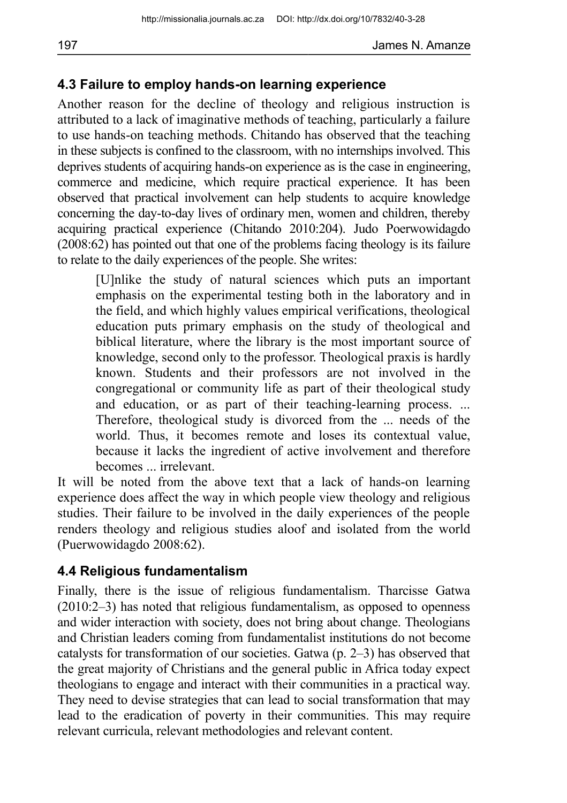#### **4.3 Failure to employ hands-on learning experience**

Another reason for the decline of theology and religious instruction is attributed to a lack of imaginative methods of teaching, particularly a failure to use hands-on teaching methods. Chitando has observed that the teaching in these subjects is confined to the classroom, with no internships involved. This deprives students of acquiring hands-on experience as is the case in engineering, commerce and medicine, which require practical experience. It has been observed that practical involvement can help students to acquire knowledge concerning the day-to-day lives of ordinary men, women and children, thereby acquiring practical experience (Chitando 2010:204). Judo Poerwowidagdo (2008:62) has pointed out that one of the problems facing theology is its failure to relate to the daily experiences of the people. She writes:

[U]nlike the study of natural sciences which puts an important emphasis on the experimental testing both in the laboratory and in the field, and which highly values empirical verifications, theological education puts primary emphasis on the study of theological and biblical literature, where the library is the most important source of knowledge, second only to the professor. Theological praxis is hardly known. Students and their professors are not involved in the congregational or community life as part of their theological study and education, or as part of their teaching-learning process. ... Therefore, theological study is divorced from the ... needs of the world. Thus, it becomes remote and loses its contextual value, because it lacks the ingredient of active involvement and therefore becomes ... irrelevant.

It will be noted from the above text that a lack of hands-on learning experience does affect the way in which people view theology and religious studies. Their failure to be involved in the daily experiences of the people renders theology and religious studies aloof and isolated from the world (Puerwowidagdo 2008:62).

### **4.4 Religious fundamentalism**

Finally, there is the issue of religious fundamentalism. Tharcisse Gatwa (2010:2–3) has noted that religious fundamentalism, as opposed to openness and wider interaction with society, does not bring about change. Theologians and Christian leaders coming from fundamentalist institutions do not become catalysts for transformation of our societies. Gatwa (p. 2–3) has observed that the great majority of Christians and the general public in Africa today expect theologians to engage and interact with their communities in a practical way. They need to devise strategies that can lead to social transformation that may lead to the eradication of poverty in their communities. This may require relevant curricula, relevant methodologies and relevant content.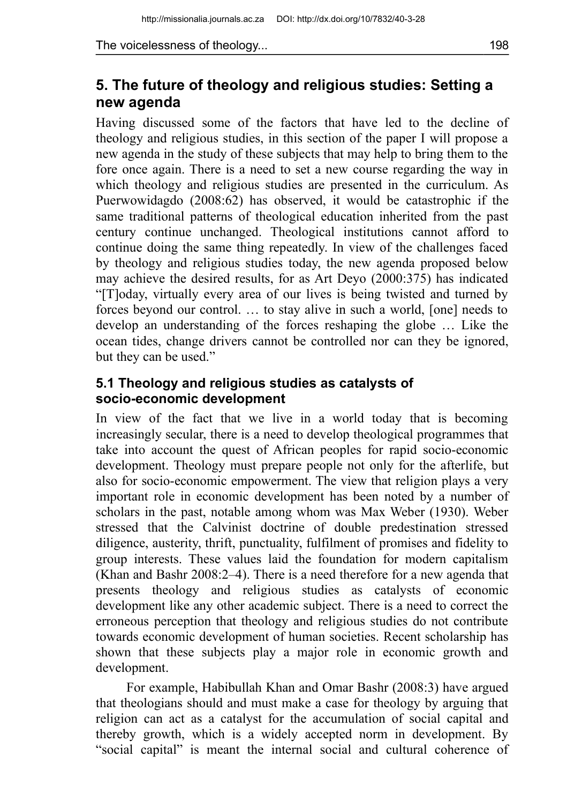# **5. The future of theology and religious studies: Setting a new agenda**

Having discussed some of the factors that have led to the decline of theology and religious studies, in this section of the paper I will propose a new agenda in the study of these subjects that may help to bring them to the fore once again. There is a need to set a new course regarding the way in which theology and religious studies are presented in the curriculum. As Puerwowidagdo (2008:62) has observed, it would be catastrophic if the same traditional patterns of theological education inherited from the past century continue unchanged. Theological institutions cannot afford to continue doing the same thing repeatedly. In view of the challenges faced by theology and religious studies today, the new agenda proposed below may achieve the desired results, for as Art Deyo (2000:375) has indicated "[T]oday, virtually every area of our lives is being twisted and turned by forces beyond our control. … to stay alive in such a world, [one] needs to develop an understanding of the forces reshaping the globe … Like the ocean tides, change drivers cannot be controlled nor can they be ignored, but they can be used."

#### **5.1 Theology and religious studies as catalysts of socio-economic development**

In view of the fact that we live in a world today that is becoming increasingly secular, there is a need to develop theological programmes that take into account the quest of African peoples for rapid socio-economic development. Theology must prepare people not only for the afterlife, but also for socio-economic empowerment. The view that religion plays a very important role in economic development has been noted by a number of scholars in the past, notable among whom was Max Weber (1930). Weber stressed that the Calvinist doctrine of double predestination stressed diligence, austerity, thrift, punctuality, fulfilment of promises and fidelity to group interests. These values laid the foundation for modern capitalism (Khan and Bashr 2008:2–4). There is a need therefore for a new agenda that presents theology and religious studies as catalysts of economic development like any other academic subject. There is a need to correct the erroneous perception that theology and religious studies do not contribute towards economic development of human societies. Recent scholarship has shown that these subjects play a major role in economic growth and development.

For example, Habibullah Khan and Omar Bashr (2008:3) have argued that theologians should and must make a case for theology by arguing that religion can act as a catalyst for the accumulation of social capital and thereby growth, which is a widely accepted norm in development. By "social capital" is meant the internal social and cultural coherence of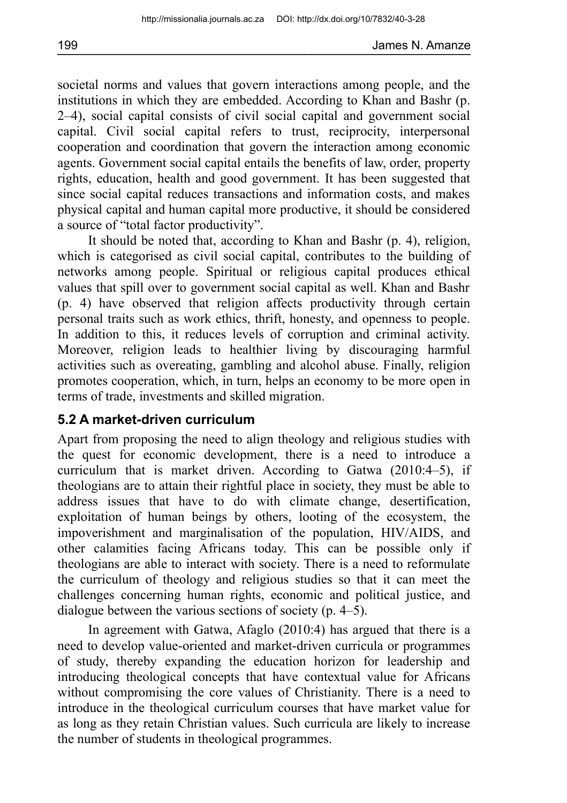societal norms and values that govern interactions among people, and the institutions in which they are embedded. According to Khan and Bashr (p. 2–4), social capital consists of civil social capital and government social capital. Civil social capital refers to trust, reciprocity, interpersonal cooperation and coordination that govern the interaction among economic agents. Government social capital entails the benefits of law, order, property rights, education, health and good government. It has been suggested that since social capital reduces transactions and information costs, and makes physical capital and human capital more productive, it should be considered a source of "total factor productivity".

It should be noted that, according to Khan and Bashr (p. 4), religion, which is categorised as civil social capital, contributes to the building of networks among people. Spiritual or religious capital produces ethical values that spill over to government social capital as well. Khan and Bashr (p. 4) have observed that religion affects productivity through certain personal traits such as work ethics, thrift, honesty, and openness to people. In addition to this, it reduces levels of corruption and criminal activity. Moreover, religion leads to healthier living by discouraging harmful activities such as overeating, gambling and alcohol abuse. Finally, religion promotes cooperation, which, in turn, helps an economy to be more open in terms of trade, investments and skilled migration.

#### **5.2 A market-driven curriculum**

Apart from proposing the need to align theology and religious studies with the quest for economic development, there is a need to introduce a curriculum that is market driven. According to Gatwa (2010:4–5), if theologians are to attain their rightful place in society, they must be able to address issues that have to do with climate change, desertification, exploitation of human beings by others, looting of the ecosystem, the impoverishment and marginalisation of the population, HIV/AIDS, and other calamities facing Africans today. This can be possible only if theologians are able to interact with society. There is a need to reformulate the curriculum of theology and religious studies so that it can meet the challenges concerning human rights, economic and political justice, and dialogue between the various sections of society (p. 4–5).

In agreement with Gatwa, Afaglo (2010:4) has argued that there is a need to develop value-oriented and market-driven curricula or programmes of study, thereby expanding the education horizon for leadership and introducing theological concepts that have contextual value for Africans without compromising the core values of Christianity. There is a need to introduce in the theological curriculum courses that have market value for as long as they retain Christian values. Such curricula are likely to increase the number of students in theological programmes.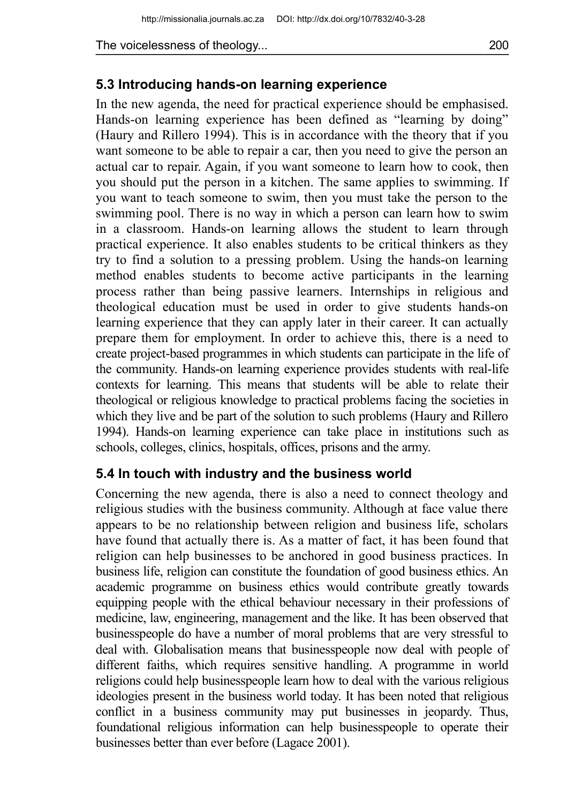### **5.3 Introducing hands-on learning experience**

In the new agenda, the need for practical experience should be emphasised. Hands-on learning experience has been defined as "learning by doing" (Haury and Rillero 1994). This is in accordance with the theory that if you want someone to be able to repair a car, then you need to give the person an actual car to repair. Again, if you want someone to learn how to cook, then you should put the person in a kitchen. The same applies to swimming. If you want to teach someone to swim, then you must take the person to the swimming pool. There is no way in which a person can learn how to swim in a classroom. Hands-on learning allows the student to learn through practical experience. It also enables students to be critical thinkers as they try to find a solution to a pressing problem. Using the hands-on learning method enables students to become active participants in the learning process rather than being passive learners. Internships in religious and theological education must be used in order to give students hands-on learning experience that they can apply later in their career. It can actually prepare them for employment. In order to achieve this, there is a need to create project-based programmes in which students can participate in the life of the community. Hands-on learning experience provides students with real-life contexts for learning. This means that students will be able to relate their theological or religious knowledge to practical problems facing the societies in which they live and be part of the solution to such problems (Haury and Rillero 1994). Hands-on learning experience can take place in institutions such as schools, colleges, clinics, hospitals, offices, prisons and the army.

### **5.4 In touch with industry and the business world**

Concerning the new agenda, there is also a need to connect theology and religious studies with the business community. Although at face value there appears to be no relationship between religion and business life, scholars have found that actually there is. As a matter of fact, it has been found that religion can help businesses to be anchored in good business practices. In business life, religion can constitute the foundation of good business ethics. An academic programme on business ethics would contribute greatly towards equipping people with the ethical behaviour necessary in their professions of medicine, law, engineering, management and the like. It has been observed that businesspeople do have a number of moral problems that are very stressful to deal with. Globalisation means that businesspeople now deal with people of different faiths, which requires sensitive handling. A programme in world religions could help businesspeople learn how to deal with the various religious ideologies present in the business world today. It has been noted that religious conflict in a business community may put businesses in jeopardy. Thus, foundational religious information can help businesspeople to operate their businesses better than ever before (Lagace 2001).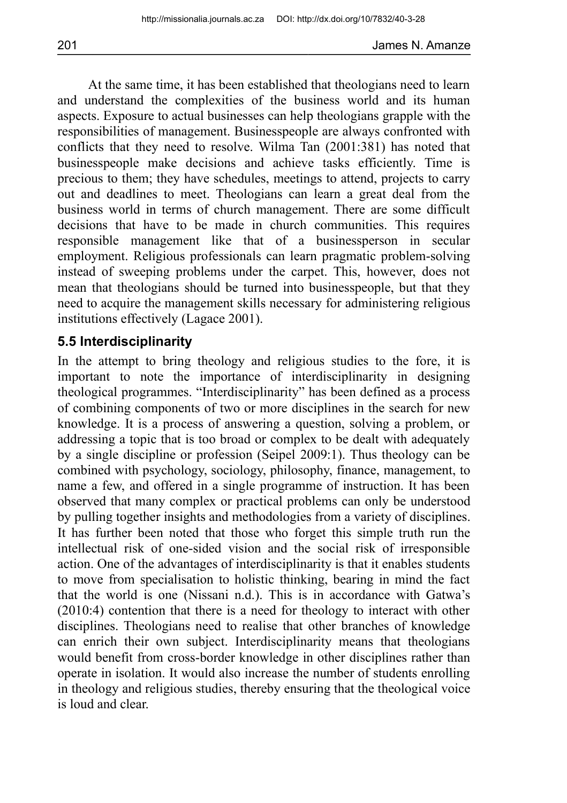At the same time, it has been established that theologians need to learn and understand the complexities of the business world and its human aspects. Exposure to actual businesses can help theologians grapple with the responsibilities of management. Businesspeople are always confronted with conflicts that they need to resolve. Wilma Tan (2001:381) has noted that businesspeople make decisions and achieve tasks efficiently. Time is precious to them; they have schedules, meetings to attend, projects to carry out and deadlines to meet. Theologians can learn a great deal from the business world in terms of church management. There are some difficult decisions that have to be made in church communities. This requires responsible management like that of a businessperson in secular employment. Religious professionals can learn pragmatic problem-solving instead of sweeping problems under the carpet. This, however, does not mean that theologians should be turned into businesspeople, but that they need to acquire the management skills necessary for administering religious institutions effectively (Lagace 2001).

### **5.5 Interdisciplinarity**

In the attempt to bring theology and religious studies to the fore, it is important to note the importance of interdisciplinarity in designing theological programmes. "Interdisciplinarity" has been defined as a process of combining components of two or more disciplines in the search for new knowledge. It is a process of answering a question, solving a problem, or addressing a topic that is too broad or complex to be dealt with adequately by a single discipline or profession (Seipel 2009:1). Thus theology can be combined with psychology, sociology, philosophy, finance, management, to name a few, and offered in a single programme of instruction. It has been observed that many complex or practical problems can only be understood by pulling together insights and methodologies from a variety of disciplines. It has further been noted that those who forget this simple truth run the intellectual risk of one-sided vision and the social risk of irresponsible action. One of the advantages of interdisciplinarity is that it enables students to move from specialisation to holistic thinking, bearing in mind the fact that the world is one (Nissani n.d.). This is in accordance with Gatwa's (2010:4) contention that there is a need for theology to interact with other disciplines. Theologians need to realise that other branches of knowledge can enrich their own subject. Interdisciplinarity means that theologians would benefit from cross-border knowledge in other disciplines rather than operate in isolation. It would also increase the number of students enrolling in theology and religious studies, thereby ensuring that the theological voice is loud and clear.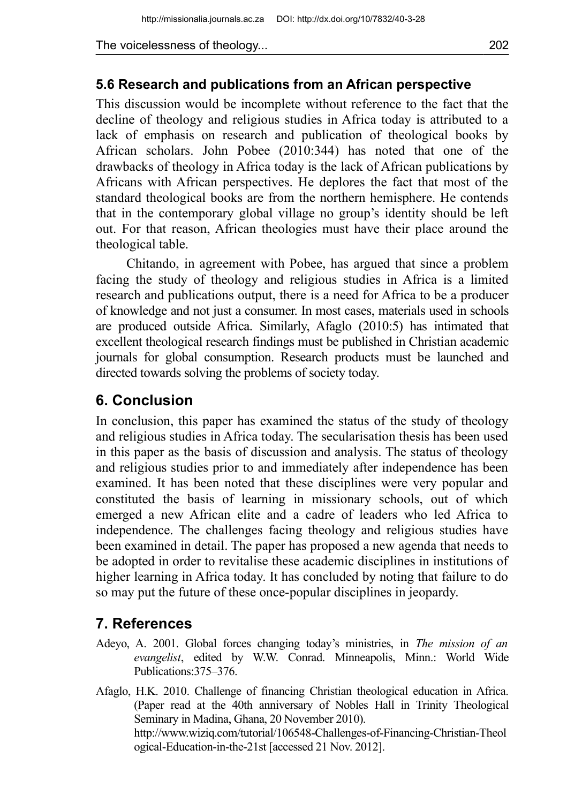#### **5.6 Research and publications from an African perspective**

This discussion would be incomplete without reference to the fact that the decline of theology and religious studies in Africa today is attributed to a lack of emphasis on research and publication of theological books by African scholars. John Pobee (2010:344) has noted that one of the drawbacks of theology in Africa today is the lack of African publications by Africans with African perspectives. He deplores the fact that most of the standard theological books are from the northern hemisphere. He contends that in the contemporary global village no group's identity should be left out. For that reason, African theologies must have their place around the theological table.

Chitando, in agreement with Pobee, has argued that since a problem facing the study of theology and religious studies in Africa is a limited research and publications output, there is a need for Africa to be a producer of knowledge and not just a consumer. In most cases, materials used in schools are produced outside Africa. Similarly, Afaglo (2010:5) has intimated that excellent theological research findings must be published in Christian academic journals for global consumption. Research products must be launched and directed towards solving the problems of society today.

# **6. Conclusion**

In conclusion, this paper has examined the status of the study of theology and religious studies in Africa today. The secularisation thesis has been used in this paper as the basis of discussion and analysis. The status of theology and religious studies prior to and immediately after independence has been examined. It has been noted that these disciplines were very popular and constituted the basis of learning in missionary schools, out of which emerged a new African elite and a cadre of leaders who led Africa to independence. The challenges facing theology and religious studies have been examined in detail. The paper has proposed a new agenda that needs to be adopted in order to revitalise these academic disciplines in institutions of higher learning in Africa today. It has concluded by noting that failure to do so may put the future of these once-popular disciplines in jeopardy.

# **7. References**

- Adeyo, A. 2001. Global forces changing today's ministries, in *The mission of an evangelist*, edited by W.W. Conrad. Minneapolis, Minn.: World Wide Publications:375–376.
- Afaglo, H.K. 2010. Challenge of financing Christian theological education in Africa. (Paper read at the 40th anniversary of Nobles Hall in Trinity Theological Seminary in Madina, Ghana, 20 November 2010). http://www.wiziq.com/tutorial/106548-Challenges-of-Financing-Christian-Theol ogical-Education-in-the-21st [accessed 21 Nov. 2012].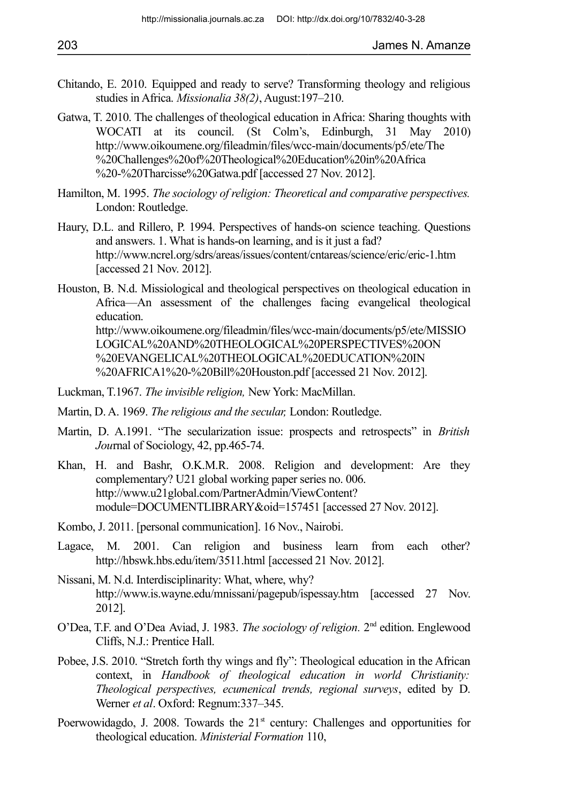- Chitando, E. 2010. Equipped and ready to serve? Transforming theology and religious studies in Africa. *Missionalia 38(2)*, August:197–210.
- Gatwa, T. 2010. The challenges of theological education in Africa: Sharing thoughts with WOCATI at its council. (St Colm's, Edinburgh, 31 May 2010) http://www.oikoumene.org/fileadmin/files/wcc-main/documents/p5/ete/The %20Challenges%20of%20Theological%20Education%20in%20Africa %20-%20Tharcisse%20Gatwa.pdf [accessed 27 Nov. 2012].
- Hamilton, M. 1995. *The sociology of religion: Theoretical and comparative perspectives.*  London: Routledge.
- Haury, D.L. and Rillero, P. 1994. Perspectives of hands-on science teaching. Questions and answers. 1. What is hands-on learning, and is it just a fad? http://www.ncrel.org/sdrs/areas/issues/content/cntareas/science/eric/eric-1.htm [accessed 21 Nov. 2012].
- Houston, B. N.d. Missiological and theological perspectives on theological education in Africa—An assessment of the challenges facing evangelical theological education. http://www.oikoumene.org/fileadmin/files/wcc-main/documents/p5/ete/MISSIO LOGICAL%20AND%20THEOLOGICAL%20PERSPECTIVES%20ON %20EVANGELICAL%20THEOLOGICAL%20EDUCATION%20IN %20AFRICA1%20-%20Bill%20Houston.pdf [accessed 21 Nov. 2012].
- Luckman, T.1967. *The invisible religion,* New York: MacMillan.
- Martin, D. A. 1969. *The religious and the secular,* London: Routledge.
- Martin, D. A.1991. "The secularization issue: prospects and retrospects" in *British Jou*rnal of Sociology, 42, pp.465-74.
- Khan, H. and Bashr, O.K.M.R. 2008. Religion and development: Are they complementary? U21 global working paper series no. 006. http://www.u21global.com/PartnerAdmin/ViewContent? module=DOCUMENTLIBRARY&oid=157451 [accessed 27 Nov. 2012].
- Kombo, J. 2011. [personal communication]. 16 Nov., Nairobi.
- Lagace, M. 2001. Can religion and business learn from each other? http://hbswk.hbs.edu/item/3511.html [accessed 21 Nov. 2012].
- Nissani, M. N.d. Interdisciplinarity: What, where, why? http://www.is.wayne.edu/mnissani/pagepub/ispessay.htm [accessed 27 Nov. 2012].
- O'Dea, T.F. and O'Dea Aviad, J. 1983. *The sociology of religion.* 2nd edition. Englewood Cliffs, N.J.: Prentice Hall.
- Pobee, J.S. 2010. "Stretch forth thy wings and fly": Theological education in the African context, in *Handbook of theological education in world Christianity: Theological perspectives, ecumenical trends, regional surveys*, edited by D. Werner *et al*. Oxford: Regnum:337–345.
- Poerwowidagdo, J. 2008. Towards the  $21<sup>st</sup>$  century: Challenges and opportunities for theological education. *Ministerial Formation* 110,